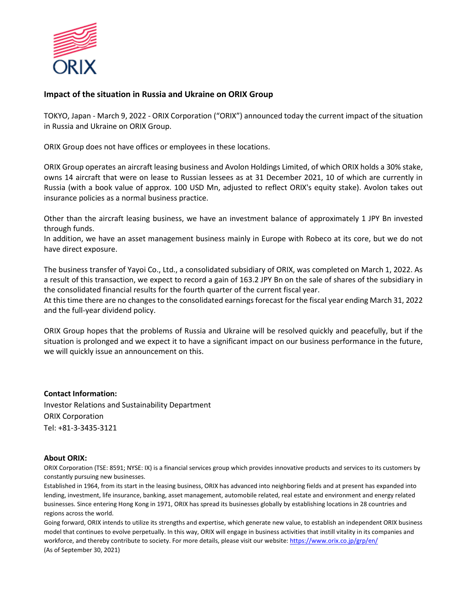

## **Impact of the situation in Russia and Ukraine on ORIX Group**

TOKYO, Japan - March 9, 2022 - ORIX Corporation ("ORIX") announced today the current impact of the situation in Russia and Ukraine on ORIX Group.

ORIX Group does not have offices or employees in these locations.

ORIX Group operates an aircraft leasing business and Avolon Holdings Limited, of which ORIX holds a 30% stake, owns 14 aircraft that were on lease to Russian lessees as at 31 December 2021, 10 of which are currently in Russia (with a book value of approx. 100 USD Mn, adjusted to reflect ORIX's equity stake). Avolon takes out insurance policies as a normal business practice.

Other than the aircraft leasing business, we have an investment balance of approximately 1 JPY Bn invested through funds.

In addition, we have an asset management business mainly in Europe with Robeco at its core, but we do not have direct exposure.

The business transfer of Yayoi Co., Ltd., a consolidated subsidiary of ORIX, was completed on March 1, 2022. As a result of this transaction, we expect to record a gain of 163.2 JPY Bn on the sale of shares of the subsidiary in the consolidated financial results for the fourth quarter of the current fiscal year.

At this time there are no changes to the consolidated earnings forecast for the fiscal year ending March 31, 2022 and the full-year dividend policy.

ORIX Group hopes that the problems of Russia and Ukraine will be resolved quickly and peacefully, but if the situation is prolonged and we expect it to have a significant impact on our business performance in the future, we will quickly issue an announcement on this.

**Contact Information:** Investor Relations and Sustainability Department ORIX Corporation Tel: +81-3-3435-3121

## **About ORIX:**

ORIX Corporation (TSE: 8591; NYSE: IX) is a financial services group which provides innovative products and services to its customers by constantly pursuing new businesses.

Established in 1964, from its start in the leasing business, ORIX has advanced into neighboring fields and at present has expanded into lending, investment, life insurance, banking, asset management, automobile related, real estate and environment and energy related businesses. Since entering Hong Kong in 1971, ORIX has spread its businesses globally by establishing locations in 28 countries and regions across the world.

Going forward, ORIX intends to utilize its strengths and expertise, which generate new value, to establish an independent ORIX business model that continues to evolve perpetually. In this way, ORIX will engage in business activities that instill vitality in its companies and workforce, and thereby contribute to society. For more details, please visit our website[: https://www.orix.co.jp/grp/en/](https://www.orix.co.jp/grp/en/) (As of September 30, 2021)